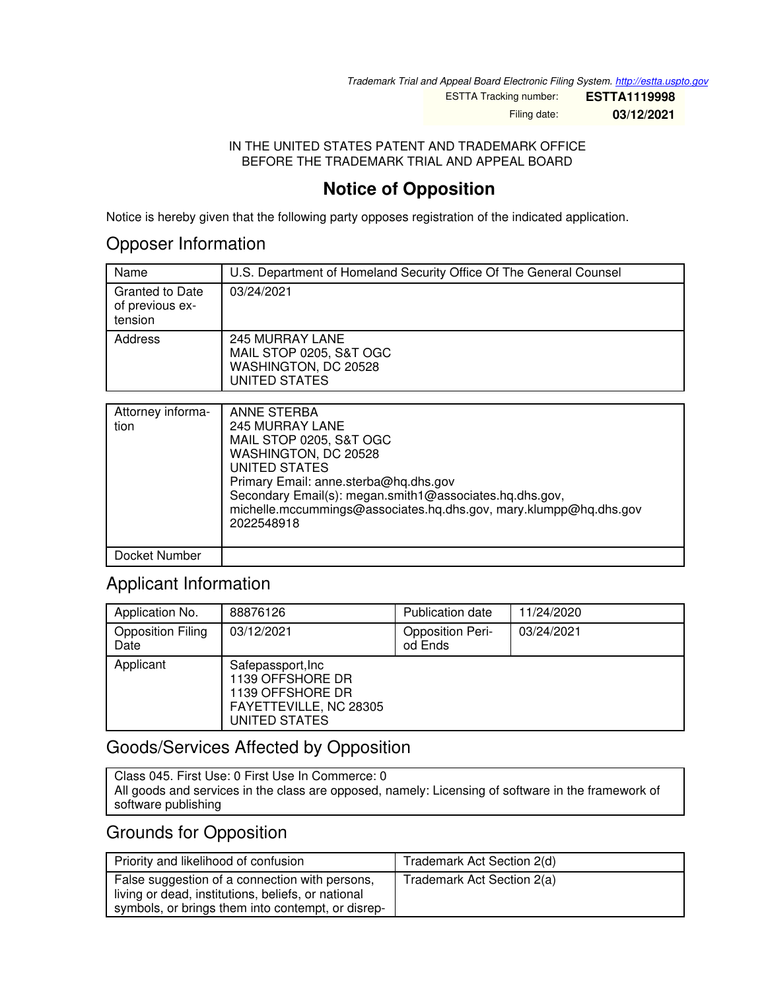*Trademark Trial and Appeal Board Electronic Filing System. <http://estta.uspto.gov>*

ESTTA Tracking number: **ESTTA1119998**

Filing date: **03/12/2021**

#### IN THE UNITED STATES PATENT AND TRADEMARK OFFICE BEFORE THE TRADEMARK TRIAL AND APPEAL BOARD

# **Notice of Opposition**

Notice is hereby given that the following party opposes registration of the indicated application.

### Opposer Information

| Name                                                 | U.S. Department of Homeland Security Office Of The General Counsel                  |
|------------------------------------------------------|-------------------------------------------------------------------------------------|
| <b>Granted to Date</b><br>of previous ex-<br>tension | 03/24/2021                                                                          |
| Address                                              | 245 MURRAY LANE<br>MAIL STOP 0205, S&T OGC<br>WASHINGTON, DC 20528<br>UNITED STATES |

| Attorney informa-<br>tion | ANNE STERBA<br><b>245 MURRAY LANE</b><br>MAIL STOP 0205, S&T OGC<br>WASHINGTON, DC 20528<br><b>UNITED STATES</b><br>Primary Email: anne.sterba@hq.dhs.gov<br>Secondary Email(s): megan.smith1@associates.hq.dhs.gov,<br>michelle.mccummings@associates.hg.dhs.gov, mary.klumpp@hg.dhs.gov<br>2022548918 |
|---------------------------|---------------------------------------------------------------------------------------------------------------------------------------------------------------------------------------------------------------------------------------------------------------------------------------------------------|
| Docket Number             |                                                                                                                                                                                                                                                                                                         |

## Applicant Information

| Application No.                  | 88876126                                                                                              | <b>Publication date</b>            | 11/24/2020 |
|----------------------------------|-------------------------------------------------------------------------------------------------------|------------------------------------|------------|
| <b>Opposition Filing</b><br>Date | 03/12/2021                                                                                            | <b>Opposition Peri-</b><br>od Ends | 03/24/2021 |
| Applicant                        | Safepassport, Inc.<br>1139 OFFSHORE DR<br>1139 OFFSHORE DR<br>FAYETTEVILLE, NC 28305<br>UNITED STATES |                                    |            |

### Goods/Services Affected by Opposition

Class 045. First Use: 0 First Use In Commerce: 0 All goods and services in the class are opposed, namely: Licensing of software in the framework of software publishing

### Grounds for Opposition

| Priority and likelihood of confusion                                                                                                                      | Trademark Act Section 2(d) |
|-----------------------------------------------------------------------------------------------------------------------------------------------------------|----------------------------|
| False suggestion of a connection with persons,<br>living or dead, institutions, beliefs, or national<br>symbols, or brings them into contempt, or disrep- | Trademark Act Section 2(a) |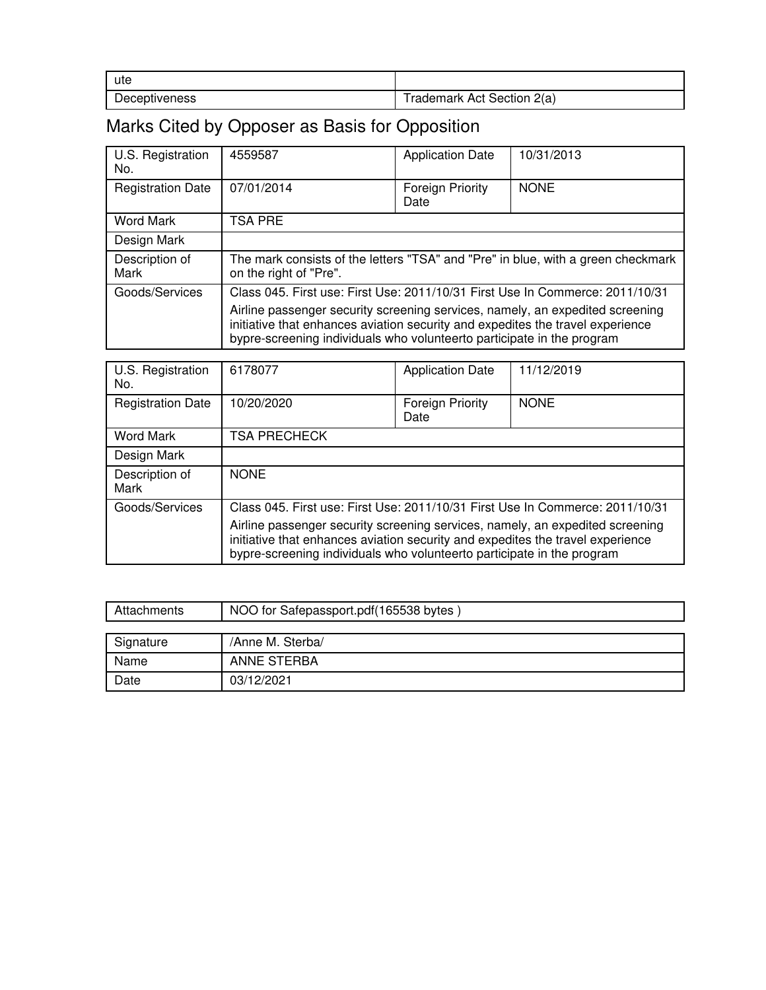| ute                  |                            |
|----------------------|----------------------------|
| <b>Deceptiveness</b> | Trademark Act Section 2(a) |

# Marks Cited by Opposer as Basis for Opposition

| U.S. Registration<br>No. | 4559587                                                                                                                                                                                                                                   | <b>Application Date</b>         | 10/31/2013  |
|--------------------------|-------------------------------------------------------------------------------------------------------------------------------------------------------------------------------------------------------------------------------------------|---------------------------------|-------------|
| <b>Registration Date</b> | 07/01/2014                                                                                                                                                                                                                                | <b>Foreign Priority</b><br>Date | <b>NONE</b> |
| <b>Word Mark</b>         | <b>TSA PRE</b>                                                                                                                                                                                                                            |                                 |             |
| Design Mark              |                                                                                                                                                                                                                                           |                                 |             |
| Description of<br>Mark   | The mark consists of the letters "TSA" and "Pre" in blue, with a green checkmark<br>on the right of "Pre".                                                                                                                                |                                 |             |
| Goods/Services           | Class 045. First use: First Use: 2011/10/31 First Use In Commerce: 2011/10/31                                                                                                                                                             |                                 |             |
|                          | Airline passenger security screening services, namely, an expedited screening<br>initiative that enhances aviation security and expedites the travel experience<br>bypre-screening individuals who volunteerto participate in the program |                                 |             |

| U.S. Registration<br>No. | 6178077                                                                                                                                                                                                                                   | <b>Application Date</b>         | 11/12/2019  |
|--------------------------|-------------------------------------------------------------------------------------------------------------------------------------------------------------------------------------------------------------------------------------------|---------------------------------|-------------|
| <b>Registration Date</b> | 10/20/2020                                                                                                                                                                                                                                | <b>Foreign Priority</b><br>Date | <b>NONE</b> |
| <b>Word Mark</b>         | <b>TSA PRECHECK</b>                                                                                                                                                                                                                       |                                 |             |
| Design Mark              |                                                                                                                                                                                                                                           |                                 |             |
| Description of<br>Mark   | <b>NONE</b>                                                                                                                                                                                                                               |                                 |             |
| Goods/Services           | Class 045. First use: First Use: 2011/10/31 First Use In Commerce: 2011/10/31                                                                                                                                                             |                                 |             |
|                          | Airline passenger security screening services, namely, an expedited screening<br>initiative that enhances aviation security and expedites the travel experience<br>bypre-screening individuals who volunteerto participate in the program |                                 |             |

| Attachments | NOO for Safepassport.pdf(165538 bytes) |  |
|-------------|----------------------------------------|--|
|             |                                        |  |
| Signature   | /Anne M. Sterba/                       |  |
| Name        | ANNE STERBA                            |  |
| Date        | 03/12/2021                             |  |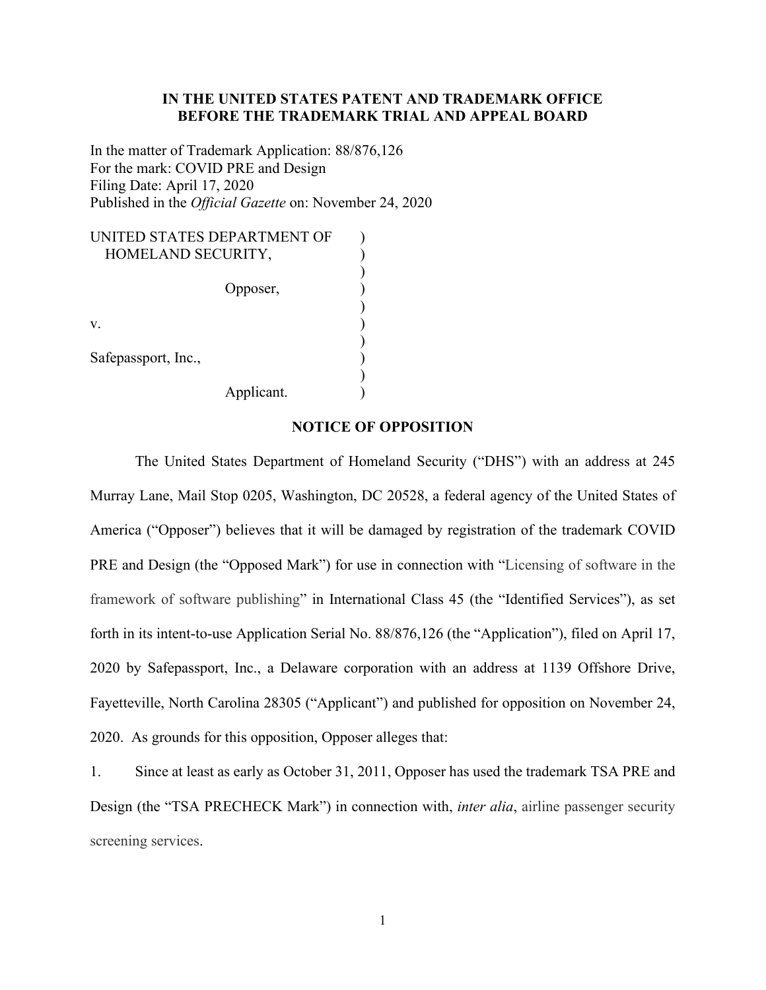#### **IN THE UNITED STATES PATENT AND TRADEMARK OFFICE BEFORE THE TRADEMARK TRIAL AND APPEAL BOARD**

In the matter of Trademark Application: 88/876,126 For the mark: COVID PRE and Design Filing Date: April 17, 2020 Published in the *Official Gazette* on: November 24, 2020

| UNITED STATES DEPARTMENT OF |  |
|-----------------------------|--|
| HOMELAND SECURITY,          |  |
| Opposer,                    |  |
| V.                          |  |
| Safepassport, Inc.,         |  |
| Applicant.                  |  |

#### **NOTICE OF OPPOSITION**

The United States Department of Homeland Security ("DHS") with an address at 245 Murray Lane, Mail Stop 0205, Washington, DC 20528, a federal agency of the United States of America ("Opposer") believes that it will be damaged by registration of the trademark COVID PRE and Design (the "Opposed Mark") for use in connection with "Licensing of software in the framework of software publishing" in International Class 45 (the "Identified Services"), as set forth in its intent-to-use Application Serial No. 88/876,126 (the "Application"), filed on April 17, 2020 by Safepassport, Inc., a Delaware corporation with an address at 1139 Offshore Drive, Fayetteville, North Carolina 28305 ("Applicant") and published for opposition on November 24, 2020. As grounds for this opposition, Opposer alleges that:

1. Since at least as early as October 31, 2011, Opposer has used the trademark TSA PRE and Design (the "TSA PRECHECK Mark") in connection with, *inter alia*, airline passenger security screening services.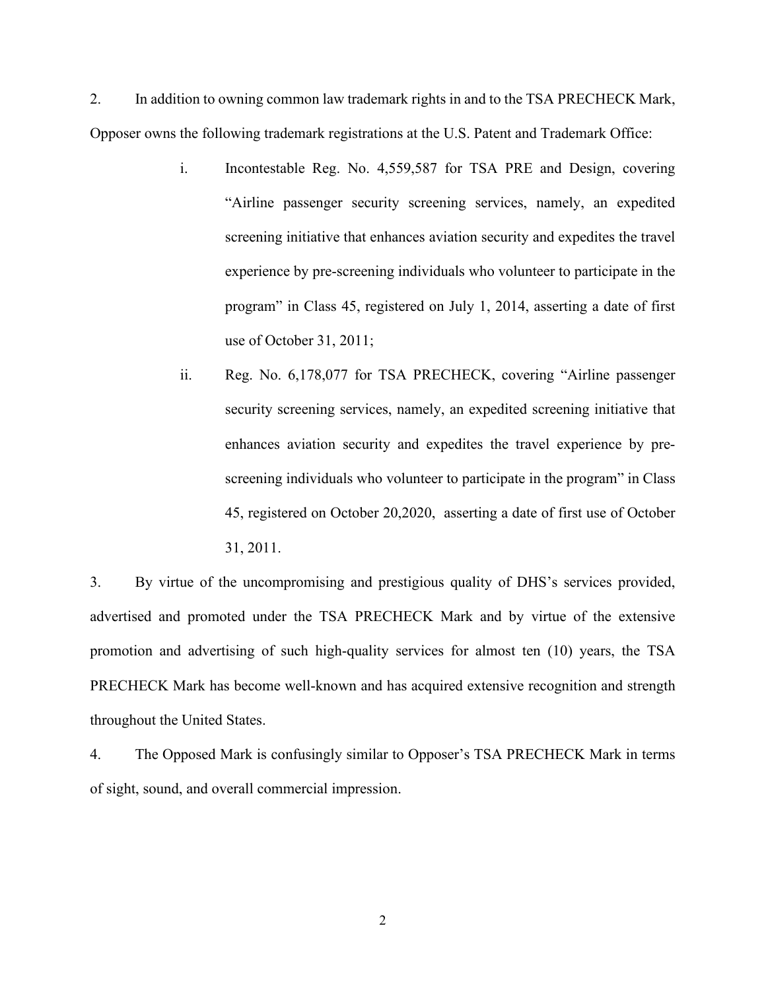2. In addition to owning common law trademark rights in and to the TSA PRECHECK Mark, Opposer owns the following trademark registrations at the U.S. Patent and Trademark Office:

- i. Incontestable Reg. No. 4,559,587 for TSA PRE and Design, covering "Airline passenger security screening services, namely, an expedited screening initiative that enhances aviation security and expedites the travel experience by pre-screening individuals who volunteer to participate in the program" in Class 45, registered on July 1, 2014, asserting a date of first use of October 31, 2011;
- ii. Reg. No. 6,178,077 for TSA PRECHECK, covering "Airline passenger security screening services, namely, an expedited screening initiative that enhances aviation security and expedites the travel experience by prescreening individuals who volunteer to participate in the program" in Class 45, registered on October 20,2020, asserting a date of first use of October 31, 2011.

3. By virtue of the uncompromising and prestigious quality of DHS's services provided, advertised and promoted under the TSA PRECHECK Mark and by virtue of the extensive promotion and advertising of such high-quality services for almost ten (10) years, the TSA PRECHECK Mark has become well-known and has acquired extensive recognition and strength throughout the United States.

4. The Opposed Mark is confusingly similar to Opposer's TSA PRECHECK Mark in terms of sight, sound, and overall commercial impression.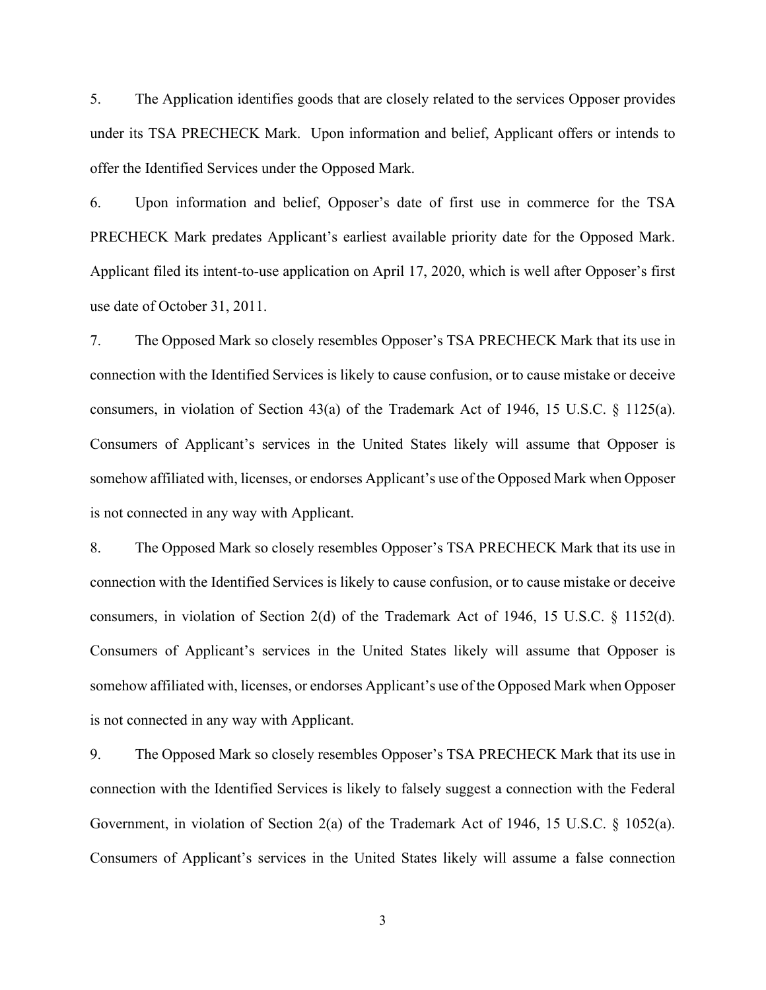5. The Application identifies goods that are closely related to the services Opposer provides under its TSA PRECHECK Mark. Upon information and belief, Applicant offers or intends to offer the Identified Services under the Opposed Mark.

6. Upon information and belief, Opposer's date of first use in commerce for the TSA PRECHECK Mark predates Applicant's earliest available priority date for the Opposed Mark. Applicant filed its intent-to-use application on April 17, 2020, which is well after Opposer's first use date of October 31, 2011.

7. The Opposed Mark so closely resembles Opposer's TSA PRECHECK Mark that its use in connection with the Identified Services is likely to cause confusion, or to cause mistake or deceive consumers, in violation of Section 43(a) of the Trademark Act of 1946, 15 U.S.C. § 1125(a). Consumers of Applicant's services in the United States likely will assume that Opposer is somehow affiliated with, licenses, or endorses Applicant's use of the Opposed Mark when Opposer is not connected in any way with Applicant.

8. The Opposed Mark so closely resembles Opposer's TSA PRECHECK Mark that its use in connection with the Identified Services is likely to cause confusion, or to cause mistake or deceive consumers, in violation of Section 2(d) of the Trademark Act of 1946, 15 U.S.C. § 1152(d). Consumers of Applicant's services in the United States likely will assume that Opposer is somehow affiliated with, licenses, or endorses Applicant's use of the Opposed Mark when Opposer is not connected in any way with Applicant.

9. The Opposed Mark so closely resembles Opposer's TSA PRECHECK Mark that its use in connection with the Identified Services is likely to falsely suggest a connection with the Federal Government, in violation of Section 2(a) of the Trademark Act of 1946, 15 U.S.C. § 1052(a). Consumers of Applicant's services in the United States likely will assume a false connection

3